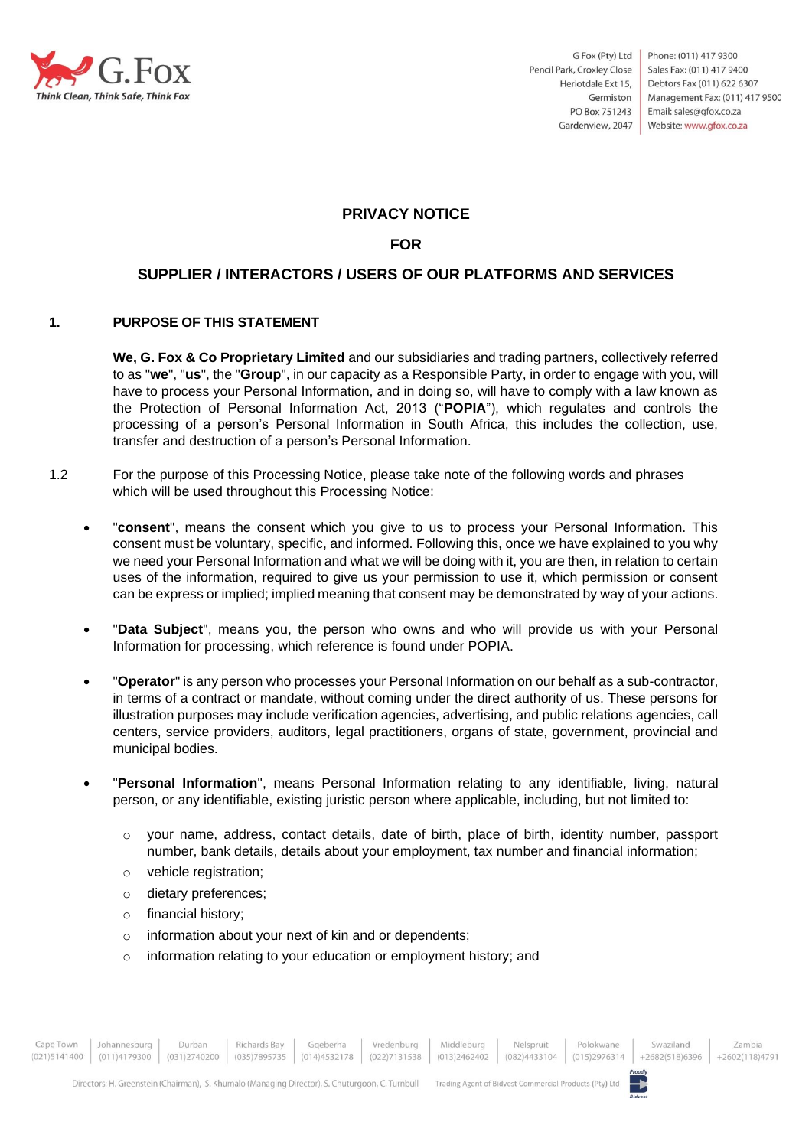

# **PRIVACY NOTICE**

# **FOR**

# **SUPPLIER / INTERACTORS / USERS OF OUR PLATFORMS AND SERVICES**

#### **1. PURPOSE OF THIS STATEMENT**

**We, G. Fox & Co Proprietary Limited** and our subsidiaries and trading partners, collectively referred to as "**we**", "**us**", the "**Group**", in our capacity as a Responsible Party, in order to engage with you, will have to process your Personal Information, and in doing so, will have to comply with a law known as the Protection of Personal Information Act, 2013 ("**POPIA**"), which regulates and controls the processing of a person's Personal Information in South Africa, this includes the collection, use, transfer and destruction of a person's Personal Information.

- 1.2 For the purpose of this Processing Notice, please take note of the following words and phrases which will be used throughout this Processing Notice:
	- "**consent**", means the consent which you give to us to process your Personal Information. This consent must be voluntary, specific, and informed. Following this, once we have explained to you why we need your Personal Information and what we will be doing with it, you are then, in relation to certain uses of the information, required to give us your permission to use it, which permission or consent can be express or implied; implied meaning that consent may be demonstrated by way of your actions.
	- "**Data Subject**", means you, the person who owns and who will provide us with your Personal Information for processing, which reference is found under POPIA.
	- "**Operator**" is any person who processes your Personal Information on our behalf as a sub-contractor, in terms of a contract or mandate, without coming under the direct authority of us. These persons for illustration purposes may include verification agencies, advertising, and public relations agencies, call centers, service providers, auditors, legal practitioners, organs of state, government, provincial and municipal bodies.
	- "**Personal Information**", means Personal Information relating to any identifiable, living, natural person, or any identifiable, existing juristic person where applicable, including, but not limited to:
		- o your name, address, contact details, date of birth, place of birth, identity number, passport number, bank details, details about your employment, tax number and financial information;
		- o vehicle registration;
		- o dietary preferences;
		- o financial history;
		- o information about your next of kin and or dependents;
		- o information relating to your education or employment history; and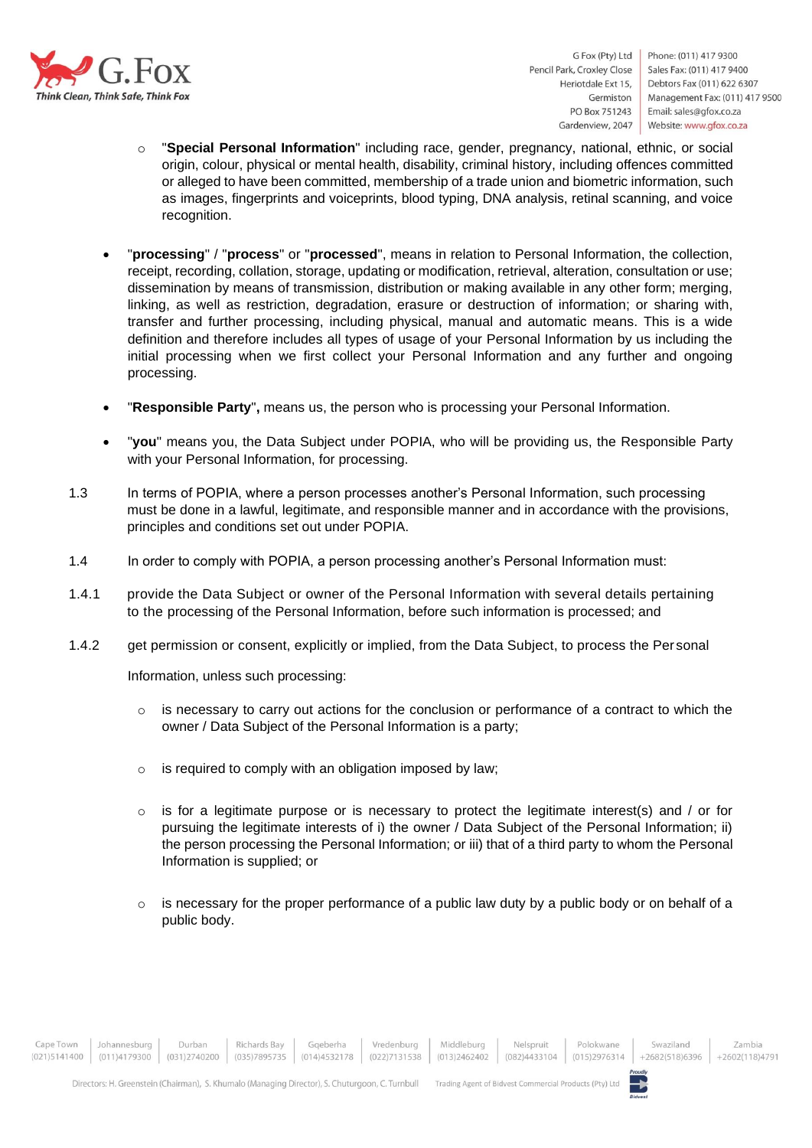

Phone: (011) 417 9300 Sales Fax: (011) 417 9400 Debtors Fax (011) 622 6307 Management Fax: (011) 417 9500 Email: sales@gfox.co.za Website: www.gfox.co.za

- o "**Special Personal Information**" including race, gender, pregnancy, national, ethnic, or social origin, colour, physical or mental health, disability, criminal history, including offences committed or alleged to have been committed, membership of a trade union and biometric information, such as images, fingerprints and voiceprints, blood typing, DNA analysis, retinal scanning, and voice recognition.
- "**processing**" / "**process**" or "**processed**", means in relation to Personal Information, the collection, receipt, recording, collation, storage, updating or modification, retrieval, alteration, consultation or use; dissemination by means of transmission, distribution or making available in any other form; merging, linking, as well as restriction, degradation, erasure or destruction of information; or sharing with, transfer and further processing, including physical, manual and automatic means. This is a wide definition and therefore includes all types of usage of your Personal Information by us including the initial processing when we first collect your Personal Information and any further and ongoing processing.
- "**Responsible Party**"**,** means us, the person who is processing your Personal Information.
- "**you**" means you, the Data Subject under POPIA, who will be providing us, the Responsible Party with your Personal Information, for processing.
- 1.3 In terms of POPIA, where a person processes another's Personal Information, such processing must be done in a lawful, legitimate, and responsible manner and in accordance with the provisions, principles and conditions set out under POPIA.
- 1.4 In order to comply with POPIA, a person processing another's Personal Information must:
- 1.4.1 provide the Data Subject or owner of the Personal Information with several details pertaining to the processing of the Personal Information, before such information is processed; and
- 1.4.2 get permission or consent, explicitly or implied, from the Data Subject, to process the Per sonal

Information, unless such processing:

- $\circ$  is necessary to carry out actions for the conclusion or performance of a contract to which the owner / Data Subject of the Personal Information is a party;
- o is required to comply with an obligation imposed by law;
- $\circ$  is for a legitimate purpose or is necessary to protect the legitimate interest(s) and / or for pursuing the legitimate interests of i) the owner / Data Subject of the Personal Information; ii) the person processing the Personal Information; or iii) that of a third party to whom the Personal Information is supplied; or
- $\circ$  is necessary for the proper performance of a public law duty by a public body or on behalf of a public body.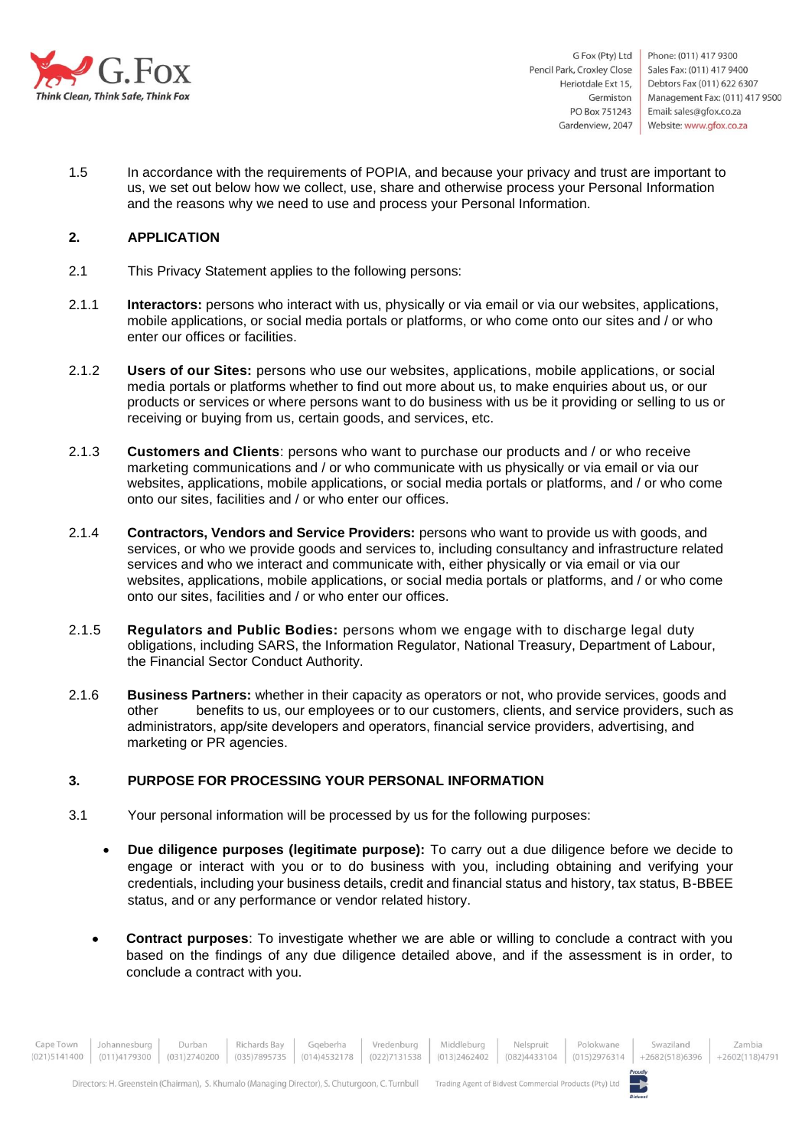

1.5 In accordance with the requirements of POPIA, and because your privacy and trust are important to us, we set out below how we collect, use, share and otherwise process your Personal Information and the reasons why we need to use and process your Personal Information.

#### **2. APPLICATION**

- 2.1 This Privacy Statement applies to the following persons:
- 2.1.1 **Interactors:** persons who interact with us, physically or via email or via our websites, applications, mobile applications, or social media portals or platforms, or who come onto our sites and / or who enter our offices or facilities.
- 2.1.2 **Users of our Sites:** persons who use our websites, applications, mobile applications, or social media portals or platforms whether to find out more about us, to make enquiries about us, or our products or services or where persons want to do business with us be it providing or selling to us or receiving or buying from us, certain goods, and services, etc.
- 2.1.3 **Customers and Clients**: persons who want to purchase our products and / or who receive marketing communications and / or who communicate with us physically or via email or via our websites, applications, mobile applications, or social media portals or platforms, and / or who come onto our sites, facilities and / or who enter our offices.
- 2.1.4 **Contractors, Vendors and Service Providers:** persons who want to provide us with goods, and services, or who we provide goods and services to, including consultancy and infrastructure related services and who we interact and communicate with, either physically or via email or via our websites, applications, mobile applications, or social media portals or platforms, and / or who come onto our sites, facilities and / or who enter our offices.
- 2.1.5 **Regulators and Public Bodies:** persons whom we engage with to discharge legal duty obligations, including SARS, the Information Regulator, National Treasury, Department of Labour, the Financial Sector Conduct Authority.
- 2.1.6 **Business Partners:** whether in their capacity as operators or not, who provide services, goods and other benefits to us, our employees or to our customers, clients, and service providers, such as administrators, app/site developers and operators, financial service providers, advertising, and marketing or PR agencies.

# **3. PURPOSE FOR PROCESSING YOUR PERSONAL INFORMATION**

- 3.1 Your personal information will be processed by us for the following purposes:
	- **Due diligence purposes (legitimate purpose):** To carry out a due diligence before we decide to engage or interact with you or to do business with you, including obtaining and verifying your credentials, including your business details, credit and financial status and history, tax status, B-BBEE status, and or any performance or vendor related history.
	- **Contract purposes**: To investigate whether we are able or willing to conclude a contract with you based on the findings of any due diligence detailed above, and if the assessment is in order, to conclude a contract with you.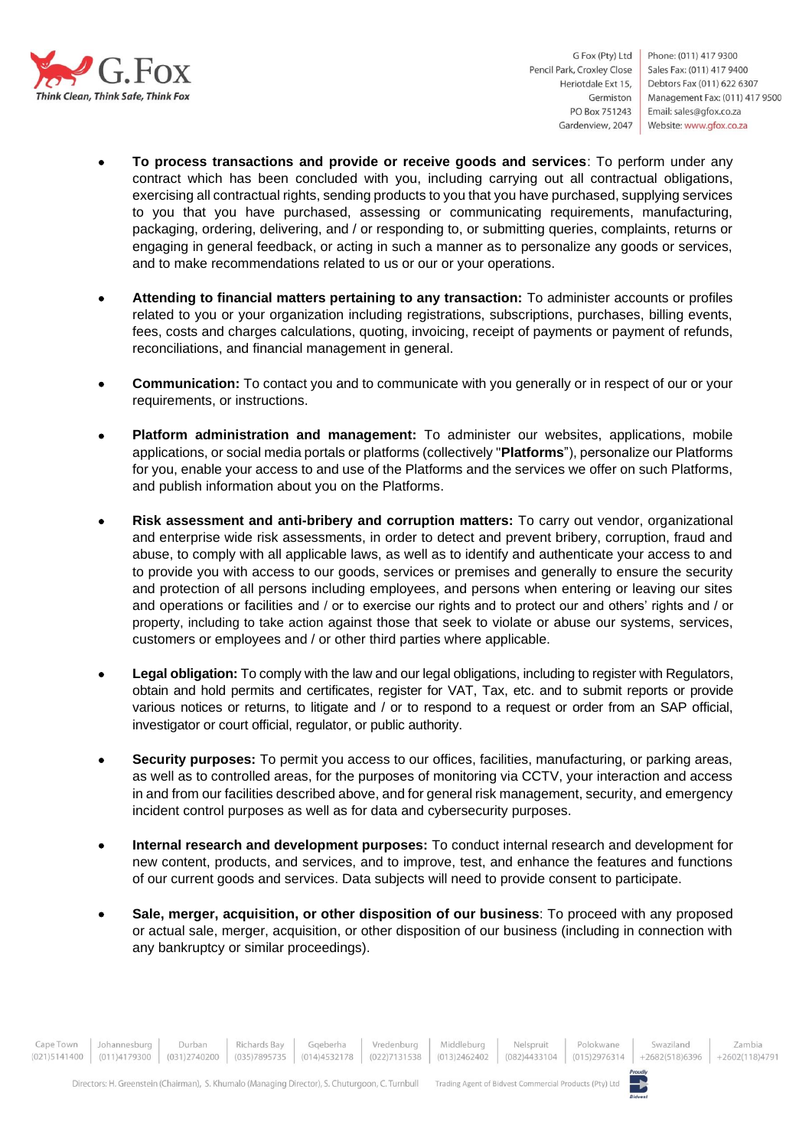

- **To process transactions and provide or receive goods and services**: To perform under any contract which has been concluded with you, including carrying out all contractual obligations, exercising all contractual rights, sending products to you that you have purchased, supplying services to you that you have purchased, assessing or communicating requirements, manufacturing, packaging, ordering, delivering, and / or responding to, or submitting queries, complaints, returns or engaging in general feedback, or acting in such a manner as to personalize any goods or services, and to make recommendations related to us or our or your operations.
- **Attending to financial matters pertaining to any transaction:** To administer accounts or profiles related to you or your organization including registrations, subscriptions, purchases, billing events, fees, costs and charges calculations, quoting, invoicing, receipt of payments or payment of refunds, reconciliations, and financial management in general.
- **Communication:** To contact you and to communicate with you generally or in respect of our or your requirements, or instructions.
- **Platform administration and management:** To administer our websites, applications, mobile applications, or social media portals or platforms (collectively "**Platforms**"), personalize our Platforms for you, enable your access to and use of the Platforms and the services we offer on such Platforms, and publish information about you on the Platforms.
- **Risk assessment and anti-bribery and corruption matters:** To carry out vendor, organizational and enterprise wide risk assessments, in order to detect and prevent bribery, corruption, fraud and abuse, to comply with all applicable laws, as well as to identify and authenticate your access to and to provide you with access to our goods, services or premises and generally to ensure the security and protection of all persons including employees, and persons when entering or leaving our sites and operations or facilities and / or to exercise our rights and to protect our and others' rights and / or property, including to take action against those that seek to violate or abuse our systems, services, customers or employees and / or other third parties where applicable.
- **Legal obligation:** To comply with the law and our legal obligations, including to register with Regulators, obtain and hold permits and certificates, register for VAT, Tax, etc. and to submit reports or provide various notices or returns, to litigate and / or to respond to a request or order from an SAP official, investigator or court official, regulator, or public authority.
- **Security purposes:** To permit you access to our offices, facilities, manufacturing, or parking areas, as well as to controlled areas, for the purposes of monitoring via CCTV, your interaction and access in and from our facilities described above, and for general risk management, security, and emergency incident control purposes as well as for data and cybersecurity purposes.
- **Internal research and development purposes:** To conduct internal research and development for new content, products, and services, and to improve, test, and enhance the features and functions of our current goods and services. Data subjects will need to provide consent to participate.
- **Sale, merger, acquisition, or other disposition of our business**: To proceed with any proposed or actual sale, merger, acquisition, or other disposition of our business (including in connection with any bankruptcy or similar proceedings).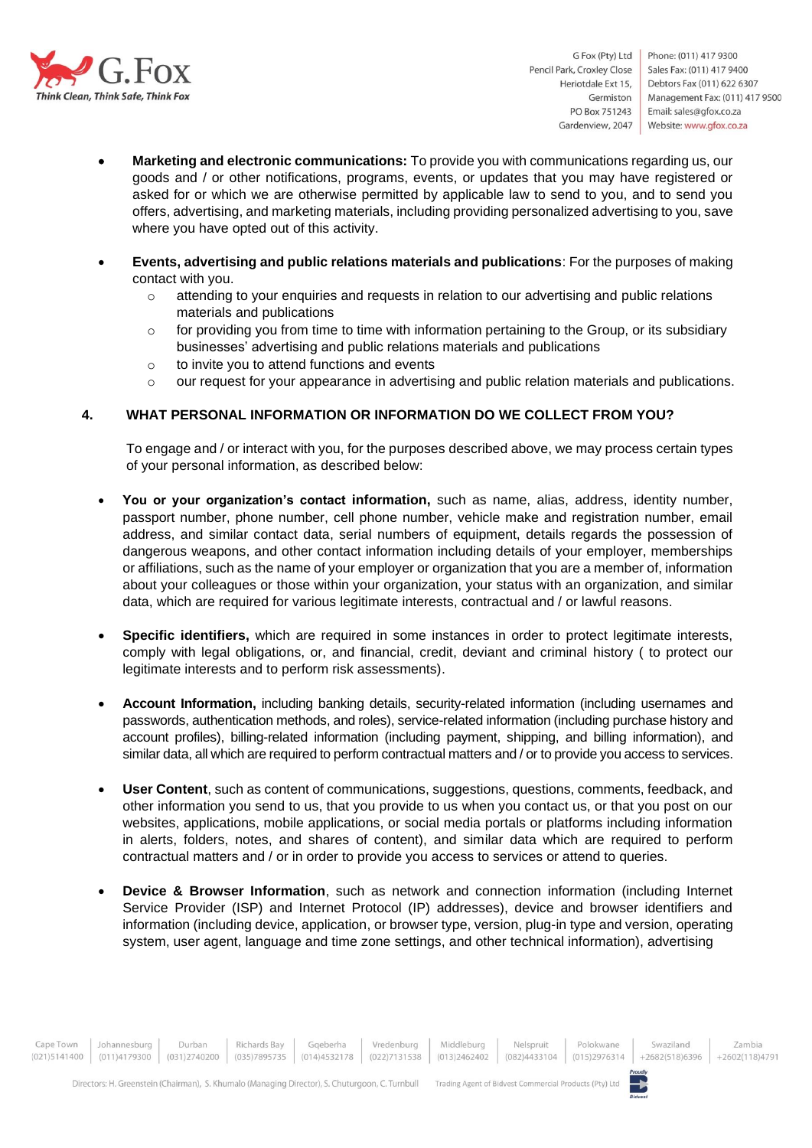

- **Marketing and electronic communications:** To provide you with communications regarding us, our goods and / or other notifications, programs, events, or updates that you may have registered or asked for or which we are otherwise permitted by applicable law to send to you, and to send you offers, advertising, and marketing materials, including providing personalized advertising to you, save where you have opted out of this activity.
- **Events, advertising and public relations materials and publications**: For the purposes of making contact with you.
	- o attending to your enquiries and requests in relation to our advertising and public relations materials and publications
	- $\circ$  for providing you from time to time with information pertaining to the Group, or its subsidiary businesses' advertising and public relations materials and publications
	- o to invite you to attend functions and events
	- o our request for your appearance in advertising and public relation materials and publications.

#### **4. WHAT PERSONAL INFORMATION OR INFORMATION DO WE COLLECT FROM YOU?**

To engage and / or interact with you, for the purposes described above, we may process certain types of your personal information, as described below:

- **You or your organization's contact information,** such as name, alias, address, identity number, passport number, phone number, cell phone number, vehicle make and registration number, email address, and similar contact data, serial numbers of equipment, details regards the possession of dangerous weapons, and other contact information including details of your employer, memberships or affiliations, such as the name of your employer or organization that you are a member of, information about your colleagues or those within your organization, your status with an organization, and similar data, which are required for various legitimate interests, contractual and / or lawful reasons.
- **Specific identifiers,** which are required in some instances in order to protect legitimate interests, comply with legal obligations, or, and financial, credit, deviant and criminal history ( to protect our legitimate interests and to perform risk assessments).
- **Account Information,** including banking details, security-related information (including usernames and passwords, authentication methods, and roles), service-related information (including purchase history and account profiles), billing-related information (including payment, shipping, and billing information), and similar data, all which are required to perform contractual matters and / or to provide you access to services.
- **User Content**, such as content of communications, suggestions, questions, comments, feedback, and other information you send to us, that you provide to us when you contact us, or that you post on our websites, applications, mobile applications, or social media portals or platforms including information in alerts, folders, notes, and shares of content), and similar data which are required to perform contractual matters and / or in order to provide you access to services or attend to queries.
- **Device & Browser Information**, such as network and connection information (including Internet Service Provider (ISP) and Internet Protocol (IP) addresses), device and browser identifiers and information (including device, application, or browser type, version, plug-in type and version, operating system, user agent, language and time zone settings, and other technical information), advertising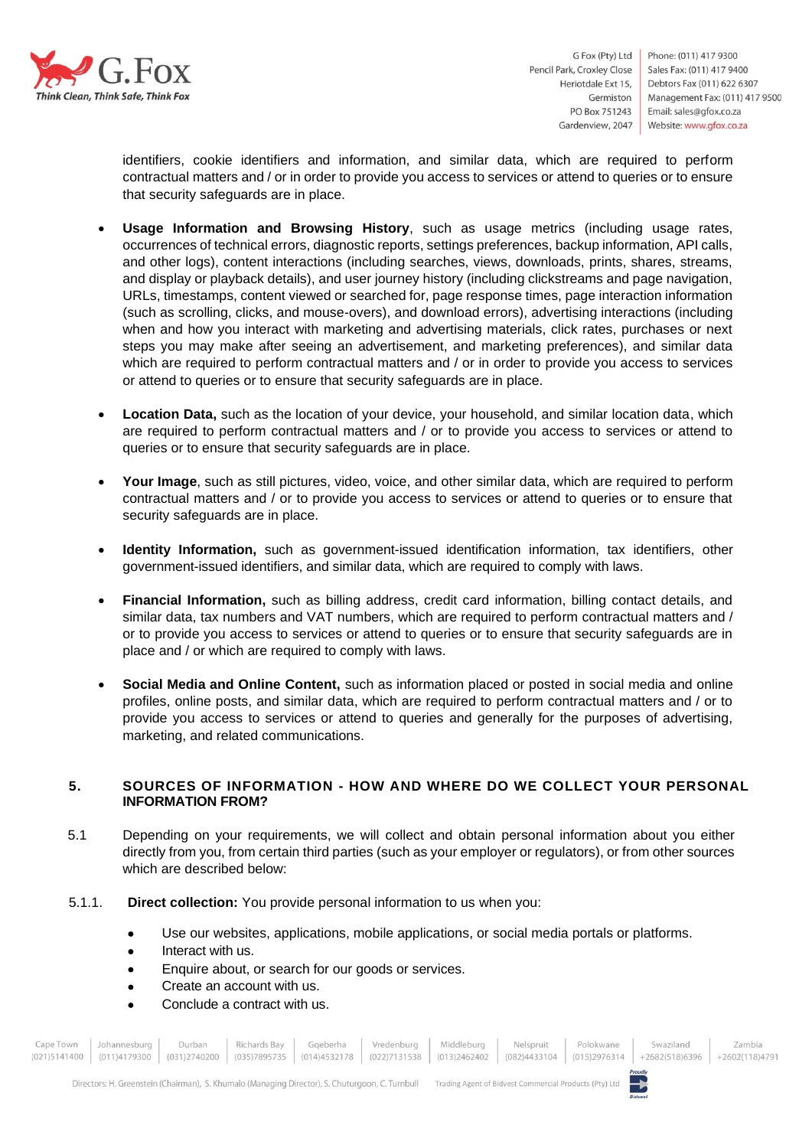

Phone: (011) 417 9300 Sales Fax: (011) 417 9400 Debtors Fax (011) 622 6307 Management Fax: (011) 417 9500 Email: sales@gfox.co.za Website: www.gfox.co.za

identifiers, cookie identifiers and information, and similar data, which are required to perform contractual matters and / or in order to provide you access to services or attend to queries or to ensure that security safeguards are in place.

- **Usage Information and Browsing History**, such as usage metrics (including usage rates, occurrences of technical errors, diagnostic reports, settings preferences, backup information, API calls, and other logs), content interactions (including searches, views, downloads, prints, shares, streams, and display or playback details), and user journey history (including clickstreams and page navigation, URLs, timestamps, content viewed or searched for, page response times, page interaction information (such as scrolling, clicks, and mouse-overs), and download errors), advertising interactions (including when and how you interact with marketing and advertising materials, click rates, purchases or next steps you may make after seeing an advertisement, and marketing preferences), and similar data which are required to perform contractual matters and / or in order to provide you access to services or attend to queries or to ensure that security safeguards are in place.
- **Location Data,** such as the location of your device, your household, and similar location data, which are required to perform contractual matters and / or to provide you access to services or attend to queries or to ensure that security safeguards are in place.
- **Your Image**, such as still pictures, video, voice, and other similar data, which are required to perform contractual matters and / or to provide you access to services or attend to queries or to ensure that security safeguards are in place.
- **Identity Information,** such as government-issued identification information, tax identifiers, other government-issued identifiers, and similar data, which are required to comply with laws.
- **Financial Information,** such as billing address, credit card information, billing contact details, and similar data, tax numbers and VAT numbers, which are required to perform contractual matters and / or to provide you access to services or attend to queries or to ensure that security safeguards are in place and / or which are required to comply with laws.
- **Social Media and Online Content,** such as information placed or posted in social media and online profiles, online posts, and similar data, which are required to perform contractual matters and / or to provide you access to services or attend to queries and generally for the purposes of advertising, marketing, and related communications.

# **5. SOURCES OF INFORMATION - HOW AND WHERE DO WE COLLECT YOUR PERSONAL INFORMATION FROM?**

- 5.1 Depending on your requirements, we will collect and obtain personal information about you either directly from you, from certain third parties (such as your employer or regulators), or from other sources which are described below:
- 5.1.1. **Direct collection:** You provide personal information to us when you:
	- Use our websites, applications, mobile applications, or social media portals or platforms.
	- Interact with us.
	- Enquire about, or search for our goods or services.
	- Create an account with us.
	- Conclude a contract with us.

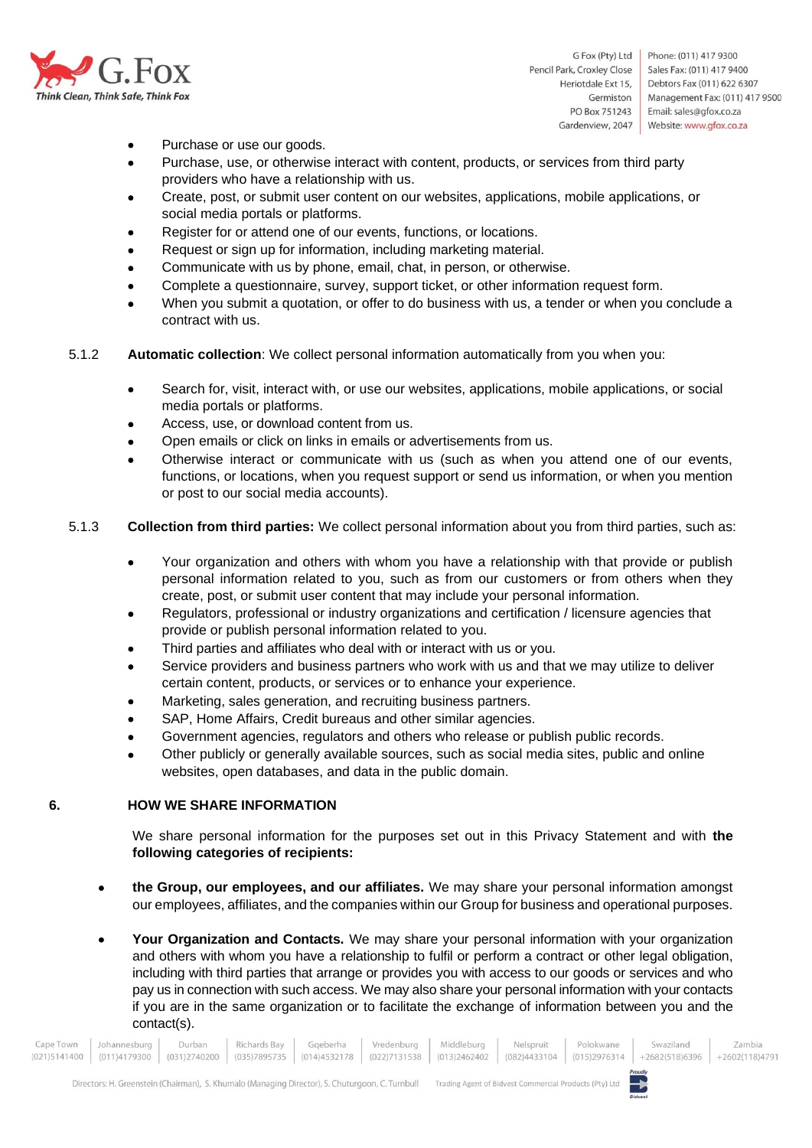

- Purchase or use our goods.
- Purchase, use, or otherwise interact with content, products, or services from third party providers who have a relationship with us.
- Create, post, or submit user content on our websites, applications, mobile applications, or social media portals or platforms.
- Register for or attend one of our events, functions, or locations.
- Request or sign up for information, including marketing material.
- Communicate with us by phone, email, chat, in person, or otherwise.
- Complete a questionnaire, survey, support ticket, or other information request form.
- When you submit a quotation, or offer to do business with us, a tender or when you conclude a contract with us.
- 5.1.2 **Automatic collection**: We collect personal information automatically from you when you:
	- Search for, visit, interact with, or use our websites, applications, mobile applications, or social media portals or platforms.
	- Access, use, or download content from us.
	- Open emails or click on links in emails or advertisements from us.
	- Otherwise interact or communicate with us (such as when you attend one of our events, functions, or locations, when you request support or send us information, or when you mention or post to our social media accounts).
- 5.1.3 **Collection from third parties:** We collect personal information about you from third parties, such as:
	- Your organization and others with whom you have a relationship with that provide or publish personal information related to you, such as from our customers or from others when they create, post, or submit user content that may include your personal information.
	- Regulators, professional or industry organizations and certification / licensure agencies that provide or publish personal information related to you.
	- Third parties and affiliates who deal with or interact with us or you.
	- Service providers and business partners who work with us and that we may utilize to deliver certain content, products, or services or to enhance your experience.
	- Marketing, sales generation, and recruiting business partners.
	- SAP, Home Affairs, Credit bureaus and other similar agencies.
	- Government agencies, regulators and others who release or publish public records.
	- Other publicly or generally available sources, such as social media sites, public and online websites, open databases, and data in the public domain.

#### **6. HOW WE SHARE INFORMATION**

We share personal information for the purposes set out in this Privacy Statement and with **the following categories of recipients:**

- **the Group, our employees, and our affiliates.** We may share your personal information amongst our employees, affiliates, and the companies within our Group for business and operational purposes.
- **Your Organization and Contacts.** We may share your personal information with your organization and others with whom you have a relationship to fulfil or perform a contract or other legal obligation, including with third parties that arrange or provides you with access to our goods or services and who pay us in connection with such access. We may also share your personal information with your contacts if you are in the same organization or to facilitate the exchange of information between you and the contact(s).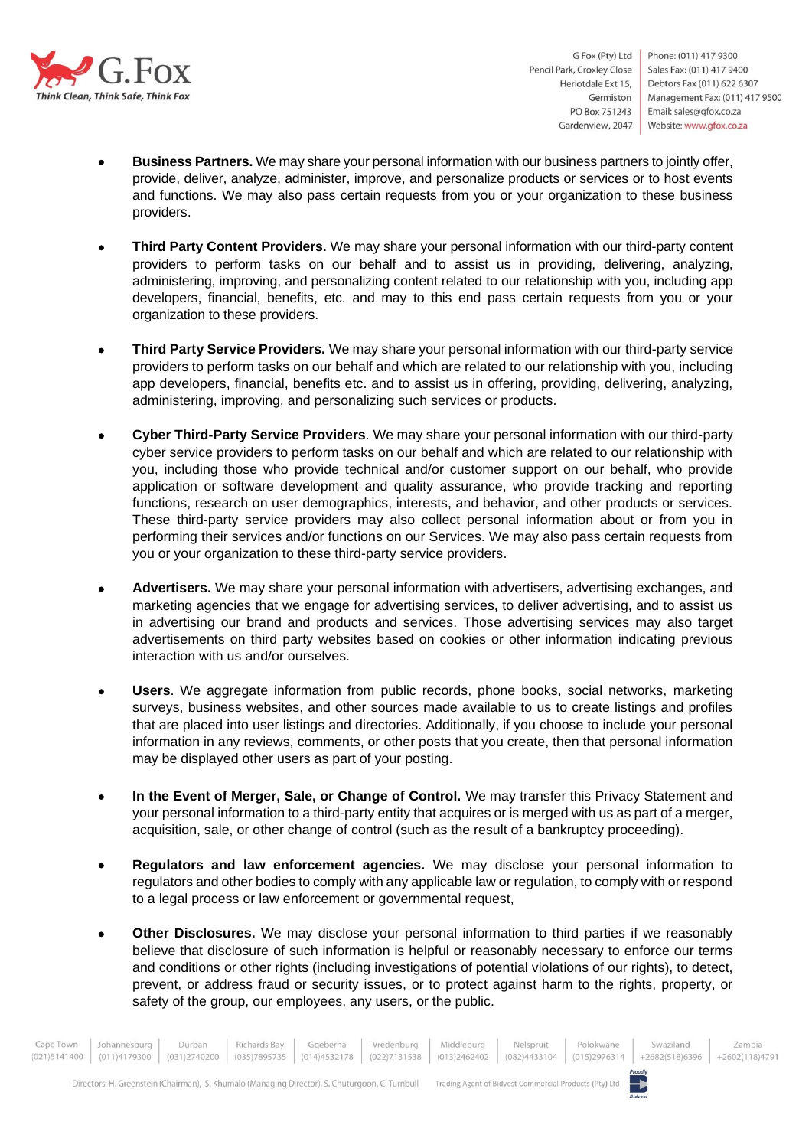

Phone: (011) 417 9300 Sales Fax: (011) 417 9400 Debtors Fax (011) 622 6307 Management Fax: (011) 417 9500 Email: sales@gfox.co.za Website: www.gfox.co.za

- **Business Partners.** We may share your personal information with our business partners to jointly offer, provide, deliver, analyze, administer, improve, and personalize products or services or to host events and functions. We may also pass certain requests from you or your organization to these business providers.
- **Third Party Content Providers.** We may share your personal information with our third-party content providers to perform tasks on our behalf and to assist us in providing, delivering, analyzing, administering, improving, and personalizing content related to our relationship with you, including app developers, financial, benefits, etc. and may to this end pass certain requests from you or your organization to these providers.
- **Third Party Service Providers.** We may share your personal information with our third-party service providers to perform tasks on our behalf and which are related to our relationship with you, including app developers, financial, benefits etc. and to assist us in offering, providing, delivering, analyzing, administering, improving, and personalizing such services or products.
- **Cyber Third-Party Service Providers**. We may share your personal information with our third-party cyber service providers to perform tasks on our behalf and which are related to our relationship with you, including those who provide technical and/or customer support on our behalf, who provide application or software development and quality assurance, who provide tracking and reporting functions, research on user demographics, interests, and behavior, and other products or services. These third-party service providers may also collect personal information about or from you in performing their services and/or functions on our Services. We may also pass certain requests from you or your organization to these third-party service providers.
- **Advertisers.** We may share your personal information with advertisers, advertising exchanges, and marketing agencies that we engage for advertising services, to deliver advertising, and to assist us in advertising our brand and products and services. Those advertising services may also target advertisements on third party websites based on cookies or other information indicating previous interaction with us and/or ourselves.
- **Users**. We aggregate information from public records, phone books, social networks, marketing surveys, business websites, and other sources made available to us to create listings and profiles that are placed into user listings and directories. Additionally, if you choose to include your personal information in any reviews, comments, or other posts that you create, then that personal information may be displayed other users as part of your posting.
- **In the Event of Merger, Sale, or Change of Control.** We may transfer this Privacy Statement and your personal information to a third-party entity that acquires or is merged with us as part of a merger, acquisition, sale, or other change of control (such as the result of a bankruptcy proceeding).
- **Regulators and law enforcement agencies.** We may disclose your personal information to regulators and other bodies to comply with any applicable law or regulation, to comply with or respond to a legal process or law enforcement or governmental request,
- **Other Disclosures.** We may disclose your personal information to third parties if we reasonably believe that disclosure of such information is helpful or reasonably necessary to enforce our terms and conditions or other rights (including investigations of potential violations of our rights), to detect, prevent, or address fraud or security issues, or to protect against harm to the rights, property, or safety of the group, our employees, any users, or the public.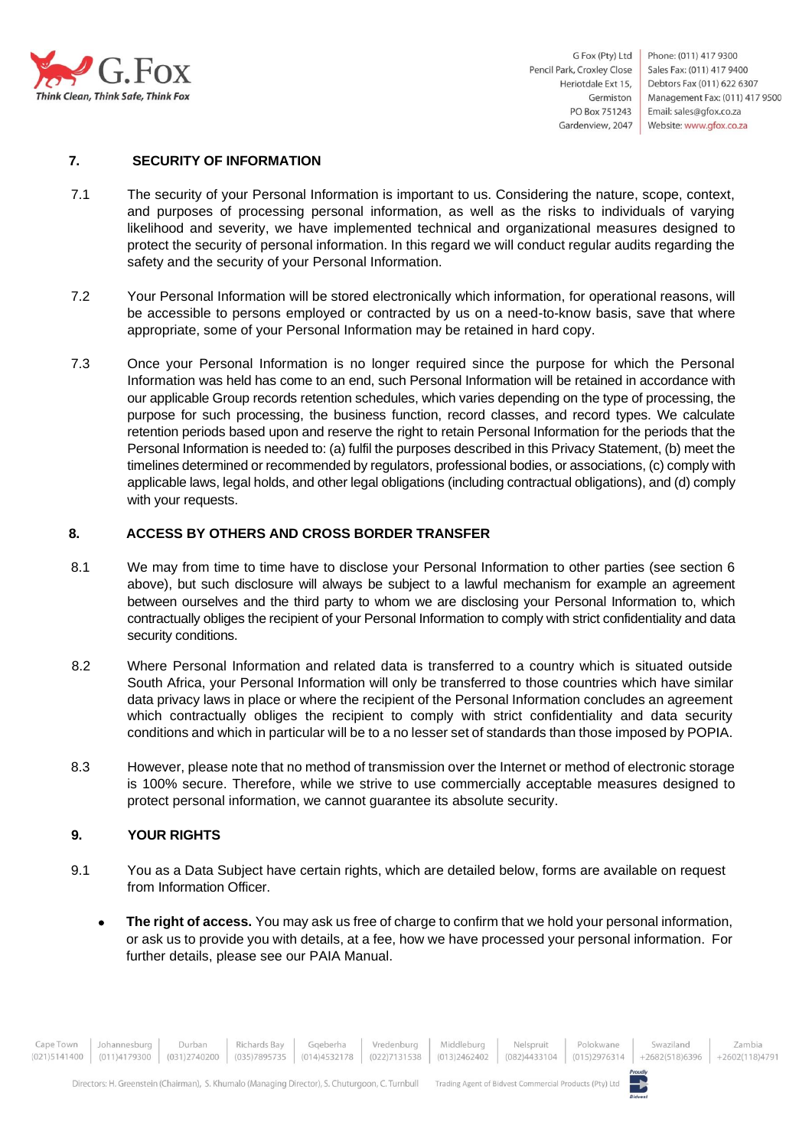

#### **7. SECURITY OF INFORMATION**

- 7.1 The security of your Personal Information is important to us. Considering the nature, scope, context, and purposes of processing personal information, as well as the risks to individuals of varying likelihood and severity, we have implemented technical and organizational measures designed to protect the security of personal information. In this regard we will conduct regular audits regarding the safety and the security of your Personal Information.
- 7.2 Your Personal Information will be stored electronically which information, for operational reasons, will be accessible to persons employed or contracted by us on a need-to-know basis, save that where appropriate, some of your Personal Information may be retained in hard copy.
- 7.3 Once your Personal Information is no longer required since the purpose for which the Personal Information was held has come to an end, such Personal Information will be retained in accordance with our applicable Group records retention schedules, which varies depending on the type of processing, the purpose for such processing, the business function, record classes, and record types. We calculate retention periods based upon and reserve the right to retain Personal Information for the periods that the Personal Information is needed to: (a) fulfil the purposes described in this Privacy Statement, (b) meet the timelines determined or recommended by regulators, professional bodies, or associations, (c) comply with applicable laws, legal holds, and other legal obligations (including contractual obligations), and (d) comply with your requests.

#### **8. ACCESS BY OTHERS AND CROSS BORDER TRANSFER**

- 8.1 We may from time to time have to disclose your Personal Information to other parties (see section 6 above), but such disclosure will always be subject to a lawful mechanism for example an agreement between ourselves and the third party to whom we are disclosing your Personal Information to, which contractually obliges the recipient of your Personal Information to comply with strict confidentiality and data security conditions.
- 8.2 Where Personal Information and related data is transferred to a country which is situated outside South Africa, your Personal Information will only be transferred to those countries which have similar data privacy laws in place or where the recipient of the Personal Information concludes an agreement which contractually obliges the recipient to comply with strict confidentiality and data security conditions and which in particular will be to a no lesser set of standards than those imposed by POPIA.
- 8.3 However, please note that no method of transmission over the Internet or method of electronic storage is 100% secure. Therefore, while we strive to use commercially acceptable measures designed to protect personal information, we cannot guarantee its absolute security.

# **9. YOUR RIGHTS**

- 9.1 You as a Data Subject have certain rights, which are detailed below, forms are available on request from Information Officer.
	- **The right of access.** You may ask us free of charge to confirm that we hold your personal information, or ask us to provide you with details, at a fee, how we have processed your personal information. For further details, please see our PAIA Manual.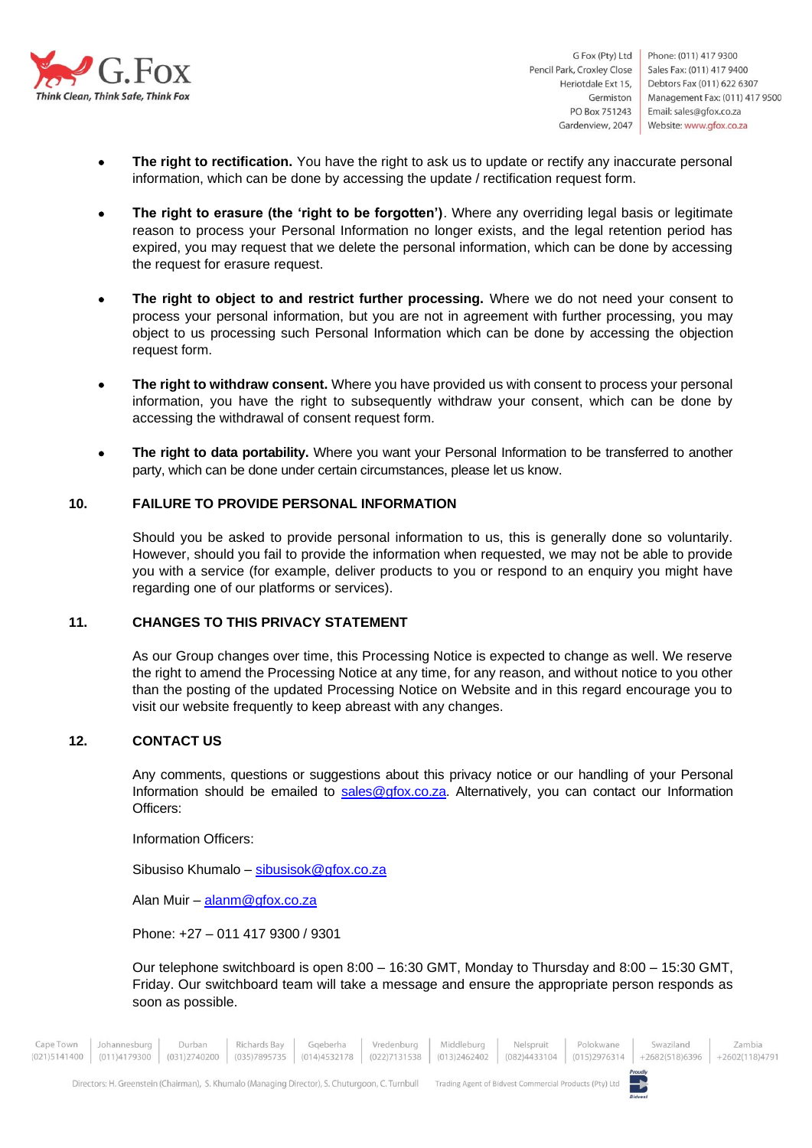

- **The right to rectification.** You have the right to ask us to update or rectify any inaccurate personal information, which can be done by accessing the update / rectification request form.
- **The right to erasure (the 'right to be forgotten')**. Where any overriding legal basis or legitimate reason to process your Personal Information no longer exists, and the legal retention period has expired, you may request that we delete the personal information, which can be done by accessing the request for erasure request.
- **The right to object to and restrict further processing.** Where we do not need your consent to process your personal information, but you are not in agreement with further processing, you may object to us processing such Personal Information which can be done by accessing the objection request form.
- The right to withdraw consent. Where you have provided us with consent to process your personal information, you have the right to subsequently withdraw your consent, which can be done by accessing the withdrawal of consent request form.
- **The right to data portability.** Where you want your Personal Information to be transferred to another party, which can be done under certain circumstances, please let us know.

# **10. FAILURE TO PROVIDE PERSONAL INFORMATION**

Should you be asked to provide personal information to us, this is generally done so voluntarily. However, should you fail to provide the information when requested, we may not be able to provide you with a service (for example, deliver products to you or respond to an enquiry you might have regarding one of our platforms or services).

#### **11. CHANGES TO THIS PRIVACY STATEMENT**

As our Group changes over time, this Processing Notice is expected to change as well. We reserve the right to amend the Processing Notice at any time, for any reason, and without notice to you other than the posting of the updated Processing Notice on Website and in this regard encourage you to visit our website frequently to keep abreast with any changes.

# **12. CONTACT US**

Any comments, questions or suggestions about this privacy notice or our handling of your Personal Information should be emailed to [sales@gfox.co.za.](mailto:sales@gfox.co.za) Alternatively, you can contact our Information Officers:

Information Officers:

Sibusiso Khumalo – [sibusisok@gfox.co.za](mailto:sibusisok@gfox.co.za)

Alan Muir – [alanm@gfox.co.za](mailto:alanm@gfox.co.za)

Phone: +27 – 011 417 9300 / 9301

Our telephone switchboard is open 8:00 – 16:30 GMT, Monday to Thursday and 8:00 – 15:30 GMT, Friday. Our switchboard team will take a message and ensure the appropriate person responds as soon as possible.